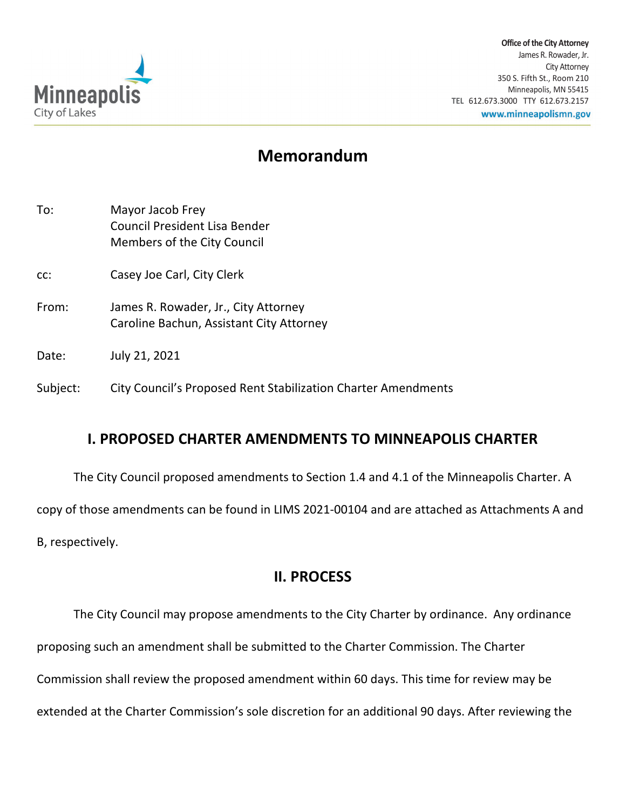

**Office of the City Attorney** James R. Rowader, Jr. City Attorney 350 S. Fifth St., Room 210 Minneapolis, MN 55415 **TEL** 612.673.3000 TTY 612.673.2157 www.minneapolismn.gov

# **Memorandum**

| To:      | Mayor Jacob Frey<br>Council President Lisa Bender<br>Members of the City Council |
|----------|----------------------------------------------------------------------------------|
| CC:      | Casey Joe Carl, City Clerk                                                       |
| From:    | James R. Rowader, Jr., City Attorney<br>Caroline Bachun, Assistant City Attorney |
| Date:    | July 21, 2021                                                                    |
| Subject: | City Council's Proposed Rent Stabilization Charter Amendments                    |

## **I. PROPOSED CHARTER AMENDMENTS TO MINNEAPOLIS CHARTER**

The City Council proposed amendments to Section 1.4 and 4.1 of the Minneapolis Charter. A copy of those amendments can be found in LIMS 2021-00104 and are attached as Attachments A and B, respectively.

## **II. PROCESS**

The City Council may propose amendments to the City Charter by ordinance. Any ordinance proposing such an amendment shall be submitted to the Charter Commission. The Charter Commission shall review the proposed amendment within 60 days. This time for review may be extended at the Charter Commission's sole discretion for an additional 90 days. After reviewing the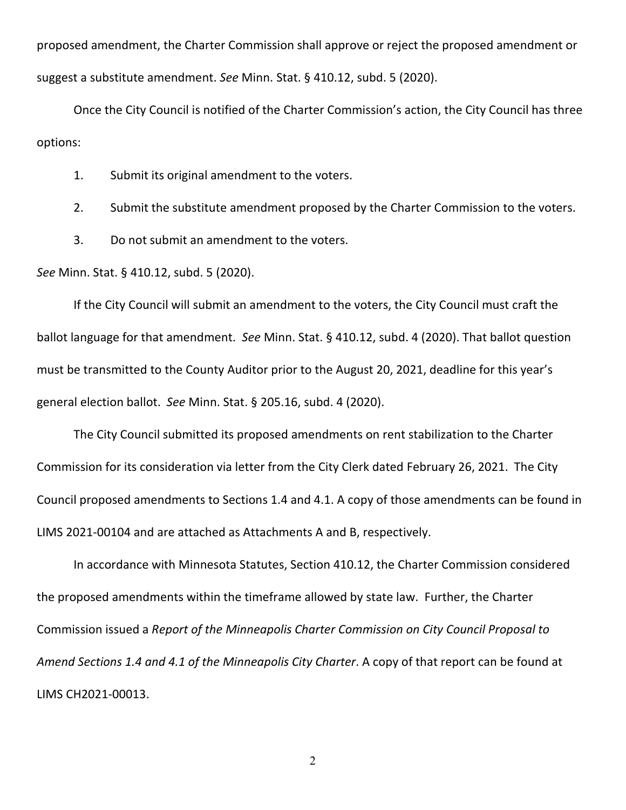proposed amendment, the Charter Commission shall approve or reject the proposed amendment or suggest a substitute amendment. *See* Minn. Stat. § 410.12, subd. 5 (2020).

Once the City Council is notified of the Charter Commission's action, the City Council has three options:

1. Submit its original amendment to the voters.

2. Submit the substitute amendment proposed by the Charter Commission to the voters.

3. Do not submit an amendment to the voters.

*See* Minn. Stat. § 410.12, subd. 5 (2020).

If the City Council will submit an amendment to the voters, the City Council must craft the ballot language for that amendment. *See* Minn. Stat. § 410.12, subd. 4 (2020). That ballot question must be transmitted to the County Auditor prior to the August 20, 2021, deadline for this year's general election ballot. *See* Minn. Stat. § 205.16, subd. 4 (2020).

The City Council submitted its proposed amendments on rent stabilization to the Charter Commission for its consideration via letter from the City Clerk dated February 26, 2021. The City Council proposed amendments to Sections 1.4 and 4.1. A copy of those amendments can be found in LIMS 2021-00104 and are attached as Attachments A and B, respectively.

In accordance with Minnesota Statutes, Section 410.12, the Charter Commission considered the proposed amendments within the timeframe allowed by state law. Further, the Charter Commission issued a *Report of the Minneapolis Charter Commission on City Council Proposal to Amend Sections 1.4 and 4.1 of the Minneapolis City Charter*. A copy of that report can be found at LIMS CH2021-00013.

2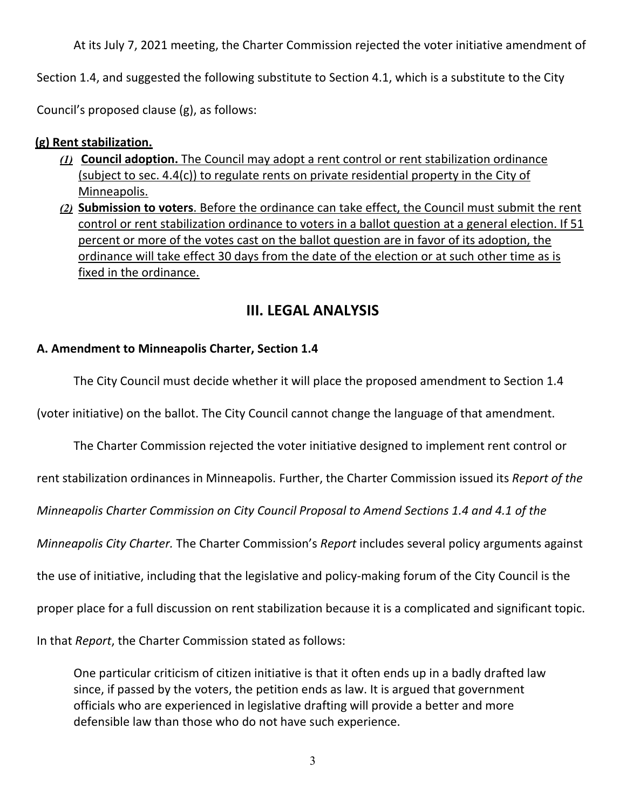At its July 7, 2021 meeting, the Charter Commission rejected the voter initiative amendment of

Section 1.4, and suggested the following substitute to Section 4.1, which is a substitute to the City

Council's proposed clause (g), as follows:

## **(g) Rent stabilization.**

- *(1)* **Council adoption.** The Council may adopt a rent control or rent stabilization ordinance (subject to sec. 4.4(c)) to regulate rents on private residential property in the City of Minneapolis.
- *(2)* **Submission to voters**. Before the ordinance can take effect, the Council must submit the rent control or rent stabilization ordinance to voters in a ballot question at a general election. If 51 percent or more of the votes cast on the ballot question are in favor of its adoption, the ordinance will take effect 30 days from the date of the election or at such other time as is fixed in the ordinance.

## **III. LEGAL ANALYSIS**

### **A. Amendment to Minneapolis Charter, Section 1.4**

The City Council must decide whether it will place the proposed amendment to Section 1.4

(voter initiative) on the ballot. The City Council cannot change the language of that amendment.

The Charter Commission rejected the voter initiative designed to implement rent control or rent stabilization ordinances in Minneapolis. Further, the Charter Commission issued its *Report of the Minneapolis Charter Commission on City Council Proposal to Amend Sections 1.4 and 4.1 of the Minneapolis City Charter.* The Charter Commission's *Report* includes several policy arguments against the use of initiative, including that the legislative and policy-making forum of the City Council is the proper place for a full discussion on rent stabilization because it is a complicated and significant topic. In that *Report*, the Charter Commission stated as follows:

One particular criticism of citizen initiative is that it often ends up in a badly drafted law since, if passed by the voters, the petition ends as law. It is argued that government officials who are experienced in legislative drafting will provide a better and more defensible law than those who do not have such experience.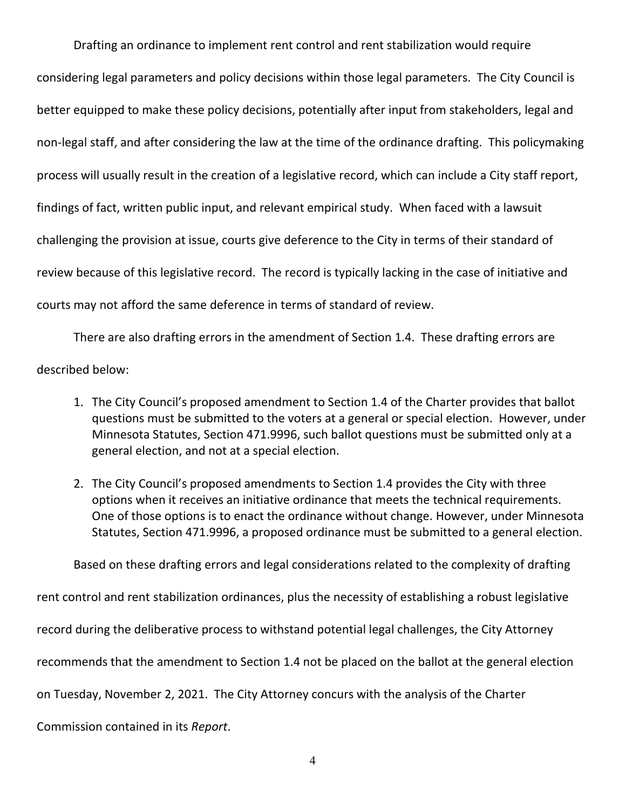Drafting an ordinance to implement rent control and rent stabilization would require considering legal parameters and policy decisions within those legal parameters. The City Council is better equipped to make these policy decisions, potentially after input from stakeholders, legal and non-legal staff, and after considering the law at the time of the ordinance drafting. This policymaking process will usually result in the creation of a legislative record, which can include a City staff report, findings of fact, written public input, and relevant empirical study. When faced with a lawsuit challenging the provision at issue, courts give deference to the City in terms of their standard of review because of this legislative record. The record is typically lacking in the case of initiative and courts may not afford the same deference in terms of standard of review.

There are also drafting errors in the amendment of Section 1.4. These drafting errors are described below:

- 1. The City Council's proposed amendment to Section 1.4 of the Charter provides that ballot questions must be submitted to the voters at a general or special election. However, under Minnesota Statutes, Section 471.9996, such ballot questions must be submitted only at a general election, and not at a special election.
- 2. The City Council's proposed amendments to Section 1.4 provides the City with three options when it receives an initiative ordinance that meets the technical requirements. One of those options is to enact the ordinance without change. However, under Minnesota Statutes, Section 471.9996, a proposed ordinance must be submitted to a general election.

Based on these drafting errors and legal considerations related to the complexity of drafting rent control and rent stabilization ordinances, plus the necessity of establishing a robust legislative record during the deliberative process to withstand potential legal challenges, the City Attorney recommends that the amendment to Section 1.4 not be placed on the ballot at the general election on Tuesday, November 2, 2021. The City Attorney concurs with the analysis of the Charter Commission contained in its *Report*.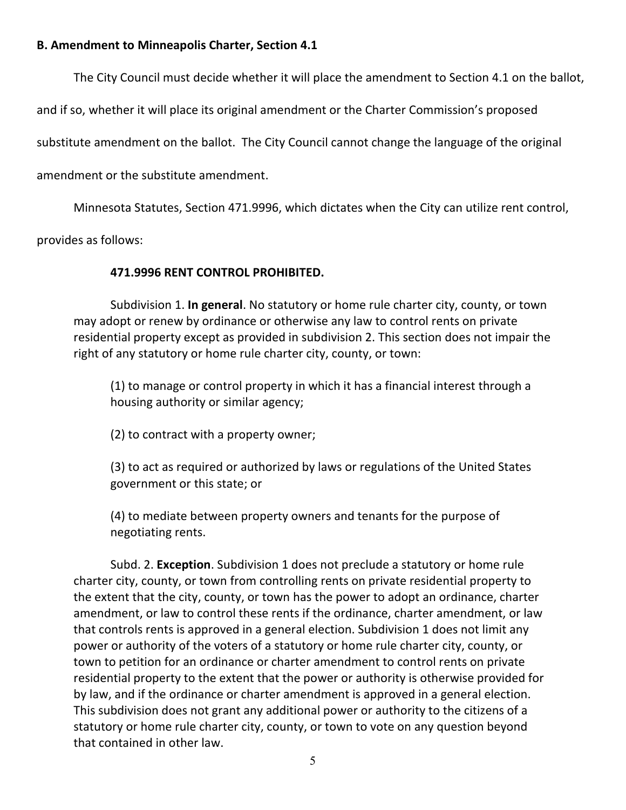### **B. Amendment to Minneapolis Charter, Section 4.1**

The City Council must decide whether it will place the amendment to Section 4.1 on the ballot,

and if so, whether it will place its original amendment or the Charter Commission's proposed

substitute amendment on the ballot. The City Council cannot change the language of the original

amendment or the substitute amendment.

Minnesota Statutes, Section 471.9996, which dictates when the City can utilize rent control,

provides as follows:

### **471.9996 RENT CONTROL PROHIBITED.**

Subdivision 1. **In general**. No statutory or home rule charter city, county, or town may adopt or renew by ordinance or otherwise any law to control rents on private residential property except as provided in subdivision 2. This section does not impair the right of any statutory or home rule charter city, county, or town:

(1) to manage or control property in which it has a financial interest through a housing authority or similar agency;

(2) to contract with a property owner;

(3) to act as required or authorized by laws or regulations of the United States government or this state; or

(4) to mediate between property owners and tenants for the purpose of negotiating rents.

Subd. 2. **Exception**. Subdivision 1 does not preclude a statutory or home rule charter city, county, or town from controlling rents on private residential property to the extent that the city, county, or town has the power to adopt an ordinance, charter amendment, or law to control these rents if the ordinance, charter amendment, or law that controls rents is approved in a general election. Subdivision 1 does not limit any power or authority of the voters of a statutory or home rule charter city, county, or town to petition for an ordinance or charter amendment to control rents on private residential property to the extent that the power or authority is otherwise provided for by law, and if the ordinance or charter amendment is approved in a general election. This subdivision does not grant any additional power or authority to the citizens of a statutory or home rule charter city, county, or town to vote on any question beyond that contained in other law.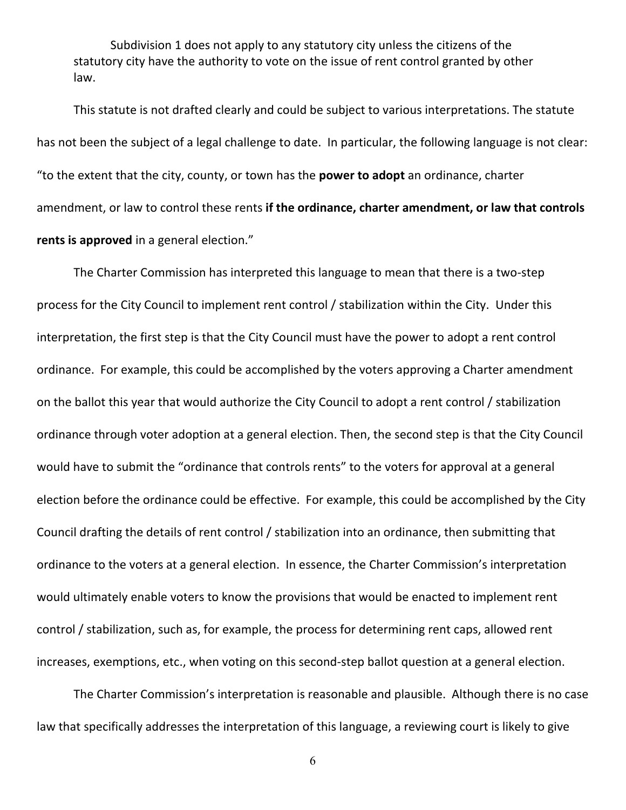Subdivision 1 does not apply to any statutory city unless the citizens of the statutory city have the authority to vote on the issue of rent control granted by other law.

This statute is not drafted clearly and could be subject to various interpretations. The statute has not been the subject of a legal challenge to date. In particular, the following language is not clear: "to the extent that the city, county, or town has the **power to adopt** an ordinance, charter amendment, or law to control these rents **if the ordinance, charter amendment, or law that controls rents is approved** in a general election."

The Charter Commission has interpreted this language to mean that there is a two-step process for the City Council to implement rent control / stabilization within the City. Under this interpretation, the first step is that the City Council must have the power to adopt a rent control ordinance. For example, this could be accomplished by the voters approving a Charter amendment on the ballot this year that would authorize the City Council to adopt a rent control / stabilization ordinance through voter adoption at a general election. Then, the second step is that the City Council would have to submit the "ordinance that controls rents" to the voters for approval at a general election before the ordinance could be effective. For example, this could be accomplished by the City Council drafting the details of rent control / stabilization into an ordinance, then submitting that ordinance to the voters at a general election. In essence, the Charter Commission's interpretation would ultimately enable voters to know the provisions that would be enacted to implement rent control / stabilization, such as, for example, the process for determining rent caps, allowed rent increases, exemptions, etc., when voting on this second-step ballot question at a general election.

The Charter Commission's interpretation is reasonable and plausible. Although there is no case law that specifically addresses the interpretation of this language, a reviewing court is likely to give

6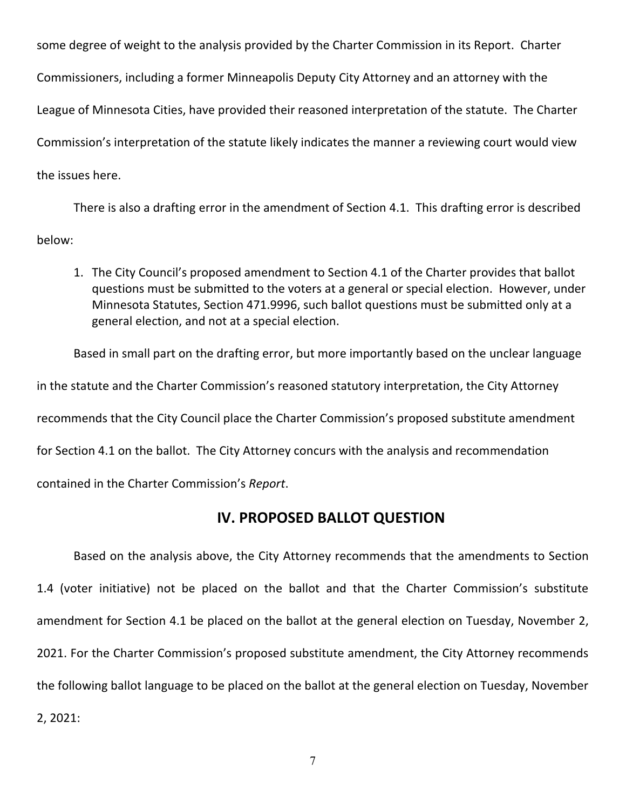some degree of weight to the analysis provided by the Charter Commission in its Report. Charter Commissioners, including a former Minneapolis Deputy City Attorney and an attorney with the League of Minnesota Cities, have provided their reasoned interpretation of the statute. The Charter Commission's interpretation of the statute likely indicates the manner a reviewing court would view the issues here.

There is also a drafting error in the amendment of Section 4.1. This drafting error is described below:

1. The City Council's proposed amendment to Section 4.1 of the Charter provides that ballot questions must be submitted to the voters at a general or special election. However, under Minnesota Statutes, Section 471.9996, such ballot questions must be submitted only at a general election, and not at a special election.

Based in small part on the drafting error, but more importantly based on the unclear language in the statute and the Charter Commission's reasoned statutory interpretation, the City Attorney recommends that the City Council place the Charter Commission's proposed substitute amendment for Section 4.1 on the ballot. The City Attorney concurs with the analysis and recommendation contained in the Charter Commission's *Report*.

## **IV. PROPOSED BALLOT QUESTION**

Based on the analysis above, the City Attorney recommends that the amendments to Section 1.4 (voter initiative) not be placed on the ballot and that the Charter Commission's substitute amendment for Section 4.1 be placed on the ballot at the general election on Tuesday, November 2, 2021. For the Charter Commission's proposed substitute amendment, the City Attorney recommends the following ballot language to be placed on the ballot at the general election on Tuesday, November 2, 2021: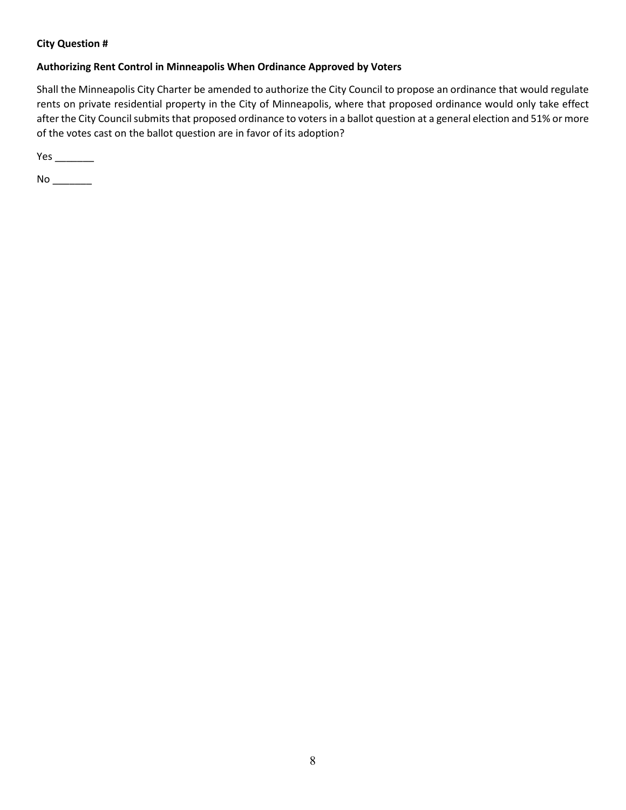### **City Question #**

### **Authorizing Rent Control in Minneapolis When Ordinance Approved by Voters**

Shall the Minneapolis City Charter be amended to authorize the City Council to propose an ordinance that would regulate rents on private residential property in the City of Minneapolis, where that proposed ordinance would only take effect after the City Council submits that proposed ordinance to voters in a ballot question at a general election and 51% or more of the votes cast on the ballot question are in favor of its adoption?

Yes \_\_\_\_\_\_\_\_

No \_\_\_\_\_\_\_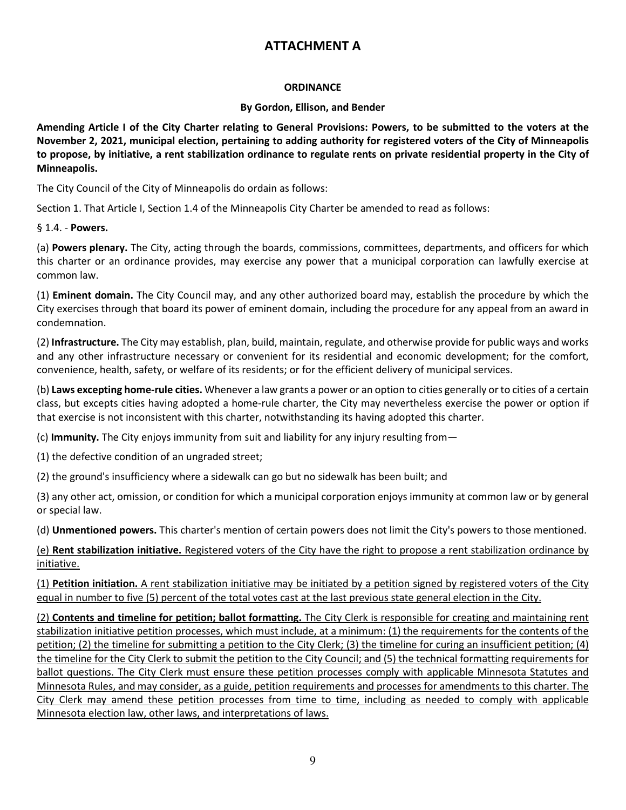## **ATTACHMENT A**

### **ORDINANCE**

#### **By Gordon, Ellison, and Bender**

**Amending Article I of the City Charter relating to General Provisions: Powers, to be submitted to the voters at the November 2, 2021, municipal election, pertaining to adding authority for registered voters of the City of Minneapolis to propose, by initiative, a rent stabilization ordinance to regulate rents on private residential property in the City of Minneapolis.**

The City Council of the City of Minneapolis do ordain as follows:

Section 1. That Article I, Section 1.4 of the Minneapolis City Charter be amended to read as follows:

§ 1.4. - **Powers.**

(a) **Powers plenary.** The City, acting through the boards, commissions, committees, departments, and officers for which this charter or an ordinance provides, may exercise any power that a municipal corporation can lawfully exercise at common law.

(1) **Eminent domain.** The City Council may, and any other authorized board may, establish the procedure by which the City exercises through that board its power of eminent domain, including the procedure for any appeal from an award in condemnation.

(2) **Infrastructure.** The City may establish, plan, build, maintain, regulate, and otherwise provide for public ways and works and any other infrastructure necessary or convenient for its residential and economic development; for the comfort, convenience, health, safety, or welfare of its residents; or for the efficient delivery of municipal services.

(b) **Laws excepting home-rule cities.** Whenever a law grants a power or an option to cities generally or to cities of a certain class, but excepts cities having adopted a home-rule charter, the City may nevertheless exercise the power or option if that exercise is not inconsistent with this charter, notwithstanding its having adopted this charter.

(c) **Immunity.** The City enjoys immunity from suit and liability for any injury resulting from—

(1) the defective condition of an ungraded street;

(2) the ground's insufficiency where a sidewalk can go but no sidewalk has been built; and

(3) any other act, omission, or condition for which a municipal corporation enjoys immunity at common law or by general or special law.

(d) **Unmentioned powers.** This charter's mention of certain powers does not limit the City's powers to those mentioned.

(e) **Rent stabilization initiative.** Registered voters of the City have the right to propose a rent stabilization ordinance by initiative.

(1) **Petition initiation.** A rent stabilization initiative may be initiated by a petition signed by registered voters of the City equal in number to five (5) percent of the total votes cast at the last previous state general election in the City.

(2) **Contents and timeline for petition; ballot formatting.** The City Clerk is responsible for creating and maintaining rent stabilization initiative petition processes, which must include, at a minimum: (1) the requirements for the contents of the petition; (2) the timeline for submitting a petition to the City Clerk; (3) the timeline for curing an insufficient petition; (4) the timeline for the City Clerk to submit the petition to the City Council; and (5) the technical formatting requirements for ballot questions. The City Clerk must ensure these petition processes comply with applicable Minnesota Statutes and Minnesota Rules, and may consider, as a guide, petition requirements and processes for amendments to this charter. The City Clerk may amend these petition processes from time to time, including as needed to comply with applicable Minnesota election law, other laws, and interpretations of laws.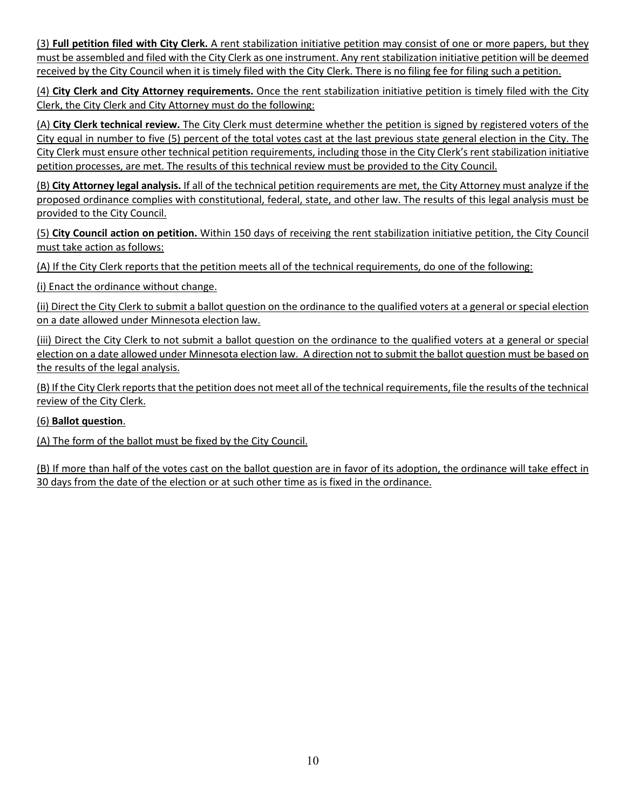(3) **Full petition filed with City Clerk.** A rent stabilization initiative petition may consist of one or more papers, but they must be assembled and filed with the City Clerk as one instrument. Any rent stabilization initiative petition will be deemed received by the City Council when it is timely filed with the City Clerk. There is no filing fee for filing such a petition.

(4) **City Clerk and City Attorney requirements.** Once the rent stabilization initiative petition is timely filed with the City Clerk, the City Clerk and City Attorney must do the following:

(A) **City Clerk technical review.** The City Clerk must determine whether the petition is signed by registered voters of the City equal in number to five (5) percent of the total votes cast at the last previous state general election in the City. The City Clerk must ensure other technical petition requirements, including those in the City Clerk's rent stabilization initiative petition processes, are met. The results of this technical review must be provided to the City Council.

(B) **City Attorney legal analysis.** If all of the technical petition requirements are met, the City Attorney must analyze if the proposed ordinance complies with constitutional, federal, state, and other law. The results of this legal analysis must be provided to the City Council.

(5) **City Council action on petition.** Within 150 days of receiving the rent stabilization initiative petition, the City Council must take action as follows:

(A) If the City Clerk reports that the petition meets all of the technical requirements, do one of the following:

(i) Enact the ordinance without change.

(ii) Direct the City Clerk to submit a ballot question on the ordinance to the qualified voters at a general or special election on a date allowed under Minnesota election law.

(iii) Direct the City Clerk to not submit a ballot question on the ordinance to the qualified voters at a general or special election on a date allowed under Minnesota election law.A direction not to submit the ballot question must be based on the results of the legal analysis.

(B) If the City Clerk reports that the petition does not meet all of the technical requirements, file the results of the technical review of the City Clerk.

### (6) **Ballot question**.

(A) The form of the ballot must be fixed by the City Council.

(B) If more than half of the votes cast on the ballot question are in favor of its adoption, the ordinance will take effect in 30 days from the date of the election or at such other time as is fixed in the ordinance.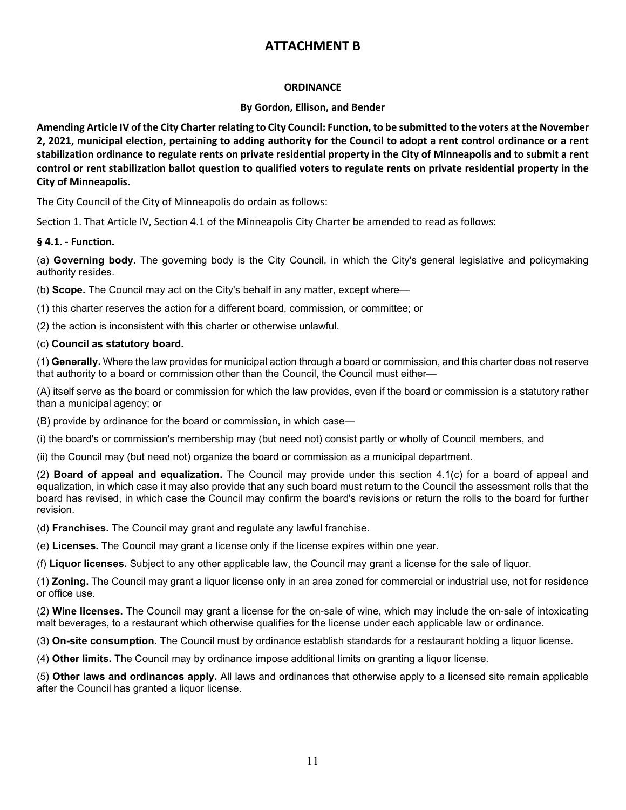## **ATTACHMENT B**

### **ORDINANCE**

#### **By Gordon, Ellison, and Bender**

**Amending Article IV of the City Charter relating to City Council: Function, to be submitted to the voters at the November 2, 2021, municipal election, pertaining to adding authority for the Council to adopt a rent control ordinance or a rent stabilization ordinance to regulate rents on private residential property in the City of Minneapolis and to submit a rent control or rent stabilization ballot question to qualified voters to regulate rents on private residential property in the City of Minneapolis.**

The City Council of the City of Minneapolis do ordain as follows:

Section 1. That Article IV, Section 4.1 of the Minneapolis City Charter be amended to read as follows:

#### **§ 4.1. - Function.**

(a) **Governing body.** The governing body is the City Council, in which the City's general legislative and policymaking authority resides.

(b) **Scope.** The Council may act on the City's behalf in any matter, except where—

(1) this charter reserves the action for a different board, commission, or committee; or

(2) the action is inconsistent with this charter or otherwise unlawful.

#### (c) **Council as statutory board.**

(1) **Generally.** Where the law provides for municipal action through a board or commission, and this charter does not reserve that authority to a board or commission other than the Council, the Council must either—

(A) itself serve as the board or commission for which the law provides, even if the board or commission is a statutory rather than a municipal agency; or

(B) provide by ordinance for the board or commission, in which case—

(i) the board's or commission's membership may (but need not) consist partly or wholly of Council members, and

(ii) the Council may (but need not) organize the board or commission as a municipal department.

(2) **Board of appeal and equalization.** The Council may provide under this section 4.1(c) for a board of appeal and equalization, in which case it may also provide that any such board must return to the Council the assessment rolls that the board has revised, in which case the Council may confirm the board's revisions or return the rolls to the board for further revision.

(d) **Franchises.** The Council may grant and regulate any lawful franchise.

(e) **Licenses.** The Council may grant a license only if the license expires within one year.

(f) **Liquor licenses.** Subject to any other applicable law, the Council may grant a license for the sale of liquor.

(1) **Zoning.** The Council may grant a liquor license only in an area zoned for commercial or industrial use, not for residence or office use.

(2) **Wine licenses.** The Council may grant a license for the on-sale of wine, which may include the on-sale of intoxicating malt beverages, to a restaurant which otherwise qualifies for the license under each applicable law or ordinance.

(3) **On-site consumption.** The Council must by ordinance establish standards for a restaurant holding a liquor license.

(4) **Other limits.** The Council may by ordinance impose additional limits on granting a liquor license.

(5) **Other laws and ordinances apply.** All laws and ordinances that otherwise apply to a licensed site remain applicable after the Council has granted a liquor license.